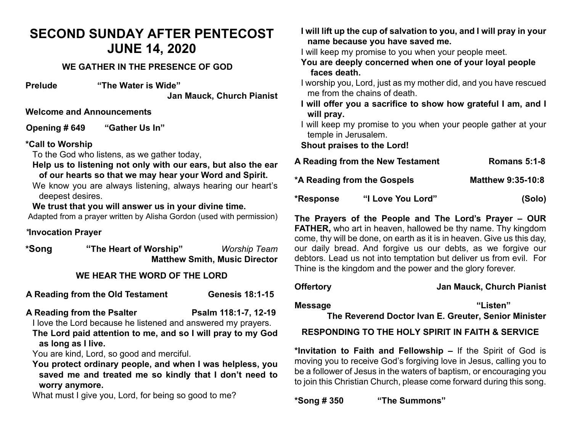# **SECOND SUNDAY AFTER PENTECOST JUNE 14, 2020**

### **WE GATHER IN THE PRESENCE OF GOD**

**Prelude "The Water is Wide"**

**Jan Mauck, Church Pianist**

**Welcome and Announcements**

**Opening # 649 "Gather Us In"**

### **\*Call to Worship**

To the God who listens, as we gather today,

- **Help us to listening not only with our ears, but also the ear of our hearts so that we may hear your Word and Spirit.**
- We know you are always listening, always hearing our heart's deepest desires.

### **We trust that you will answer us in your divine time.**

Adapted from a prayer written by Alisha Gordon (used with permission)

### *\****Invocation Prayer**

**\*Song "The Heart of Worship"** *Worship Team* **Matthew Smith, Music Director** 

### **WE HEAR THE WORD OF THE LORD**

**A Reading from the Old Testament Genesis 18:1-15**

A Reading from the Psalter **Psalm 118:1-7, 12-19** 

I love the Lord because he listened and answered my prayers.

**The Lord paid attention to me, and so I will pray to my God as long as I live.** 

You are kind, Lord, so good and merciful.

**You protect ordinary people, and when I was helpless, you saved me and treated me so kindly that I don't need to worry anymore.**

What must I give you, Lord, for being so good to me?

**I will lift up the cup of salvation to you, and I will pray in your name because you have saved me.**

I will keep my promise to you when your people meet.

- **You are deeply concerned when one of your loyal people faces death.**
- I worship you, Lord, just as my mother did, and you have rescued me from the chains of death.
- **I will offer you a sacrifice to show how grateful I am, and I will pray.**
- I will keep my promise to you when your people gather at your temple in Jerusalem.

**Shout praises to the Lord!**

| A Reading from the New Testament |                   | <b>Romans 5:1-8</b>      |
|----------------------------------|-------------------|--------------------------|
| *A Reading from the Gospels      |                   | <b>Matthew 9:35-10:8</b> |
| *Response                        | "I Love You Lord" | (Solo)                   |

**The Prayers of the People and The Lord's Prayer – OUR FATHER,** who art in heaven, hallowed be thy name. Thy kingdom come, thy will be done, on earth as it is in heaven. Give us this day, our daily bread. And forgive us our debts, as we forgive our debtors. Lead us not into temptation but deliver us from evil. For Thine is the kingdom and the power and the glory forever.

### **Offertory Jan Mauck, Church Pianist**

**Message "Listen"**

**The Reverend Doctor Ivan E. Greuter, Senior Minister**

## **RESPONDING TO THE HOLY SPIRIT IN FAITH & SERVICE**

**\*Invitation to Faith and Fellowship –** If the Spirit of God is moving you to receive God's forgiving love in Jesus, calling you to be a follower of Jesus in the waters of baptism, or encouraging you to join this Christian Church, please come forward during this song.

**\*Song # 350 "The Summons"**